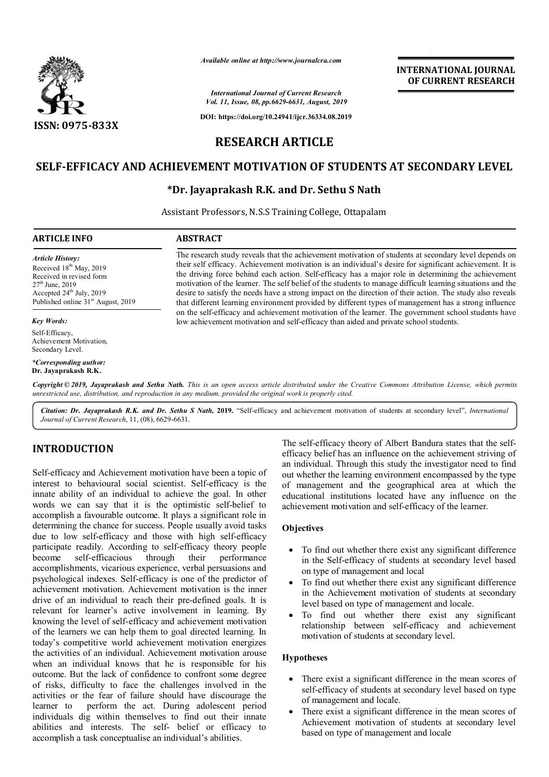

*Available online at http://www.journalcra.com*

*International Journal of Current Research Vol. 11, Issue, 08, pp.6629-6631, August, 2019*

**DOI: https://doi.org/10.24941/ijcr.36334.08.2019**

# **INTERNATIONAL JOURNAL OF CURRENT RESEARCH**

# **RESEARCH ARTICLE**

## **SELF-EFFICACY AND ACHIEVEMENT MOTIVATION OF STUDENTS AT SECONDARY LEVEL**

## **\*Dr. Jayaprakash R.K. and Dr. Sethu S Nath**

Assistant Professors, N.S.S Training College, Ottapalam

### **ARTICLE INFO ABSTRACT**

*Article History:* Received 18<sup>th</sup> May, 2019 Received in revised form  $27<sup>th</sup>$  June, 2019 Accepted  $24<sup>th</sup>$  July, 2019 Published online 31<sup>st</sup> August, 2019

#### *Key Words:*

Self-Efficacy, Achievement Motivation, Secondary Level.

*\*Corresponding author:* **Dr. Jayaprakash R.K.**

The research study reveals that the achievement motivation of students at secondary level depends on their self efficacy. Achievement motivation is an individual's desire for significant achievement. It is the driving force behind each action. Self-efficacy has a major role in determining the achievement motivation of the learner. The self belief of the students to manage difficult learning situations and the desire to satisfy the needs have a strong impact on the direction of their action. The study also reveals that different learning environment provided by different types of management has a strong influence on the self-efficacy and achievement motivation of the learner. The government school students have low achievement motivation and self-efficacy than aided and private school students.

Copyright © 2019, Jayaprakash and Sethu Nath. This is an open access article distributed under the Creative Commons Attribution License, which permits *unrestricted use, distribution, and reproduction in any medium, provided the original work is properly cited.*

*Citation: Dr. Jayaprakash R.K. and Dr. Sethu S Nath,* **2019.** "Self-efficacy and achievement motivation of students at secondary level", *International Journal of Current Research*, 11, (08), 6629-6631.

## **INTRODUCTION**

Self-efficacy and Achievement motivation have been a topic of interest to behavioural social scientist. Self-efficacy is the innate ability of an individual to achieve the goal. In other words we can say that it is the optimistic self-belief to accomplish a favourable outcome. It plays a significant role in determining the chance for success. People usually avoid tasks due to low self-efficacy and those with high self-efficacy participate readily. According to self-efficacy theory people become self-efficacious through their performance accomplishments, vicarious experience, verbal persuasions and psychological indexes. Self-efficacy is one of the predictor of achievement motivation. Achievement motivation is the inner drive of an individual to reach their pre-defined goals. It is relevant for learner's active involvement in learning. By knowing the level of self-efficacy and achievement motivation of the learners we can help them to goal directed learning. In today's competitive world achievement motivation energizes the activities of an individual. Achievement motivation arouse when an individual knows that he is responsible for his outcome. But the lack of confidence to confront some degree of risks, difficulty to face the challenges involved in the activities or the fear of failure should have discourage the learner to perform the act. During adolescent period individuals dig within themselves to find out their innate abilities and interests. The self- belief or efficacy to accomplish a task conceptualise an individual's abilities.

The self-efficacy theory of Albert Bandura states that the selfefficacy belief has an influence on the achievement striving of an individual. Through this study the investigator need to find out whether the learning environment encompassed by the type of management and the geographical area at which the educational institutions located have any influence on the achievement motivation and self-efficacy of the learner.

#### **Objectives**

- To find out whether there exist any significant difference in the Self-efficacy of students at secondary level based on type of management and local
- To find out whether there exist any significant difference in the Achievement motivation of students at secondary level based on type of management and locale.
- To find out whether there exist any significant relationship between self-efficacy and achievement motivation of students at secondary level.

#### **Hypotheses**

- There exist a significant difference in the mean scores of self-efficacy of students at secondary level based on type of management and locale.
- There exist a significant difference in the mean scores of Achievement motivation of students at secondary level based on type of management and locale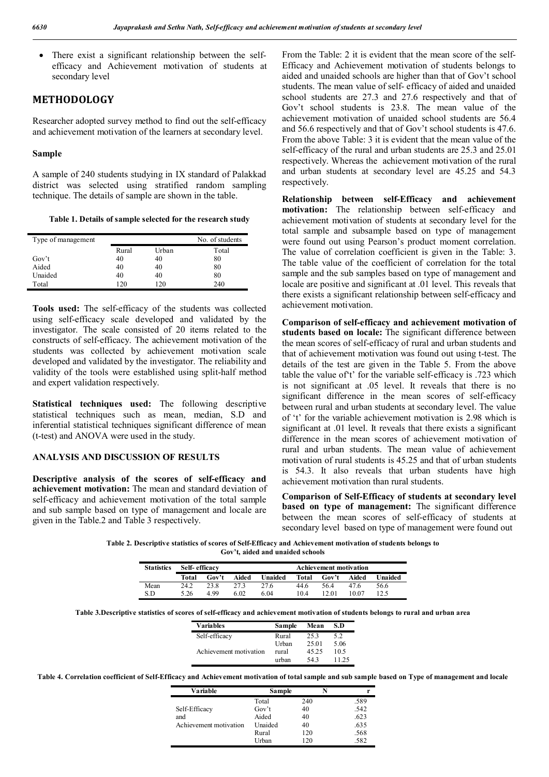There exist a significant relationship between the selfefficacy and Achievement motivation of students at secondary level

## **METHODOLOGY**

Researcher adopted survey method to find out the self-efficacy and achievement motivation of the learners at secondary level.

#### **Sample**

A sample of 240 students studying in IX standard of Palakkad district was selected using stratified random sampling technique. The details of sample are shown in the table.

**Table 1. Details of sample selected for the research study**

| Type of management |       |       | No. of students |
|--------------------|-------|-------|-----------------|
|                    | Rural | Urban | Total           |
| Gov't              | 40    | 40    | 80              |
| Aided              | 40    | 40    | 80              |
| Unaided            | 40    | 40    | 80              |
| Total              | 120   | 120   | 240             |

**Tools used:** The self-efficacy of the students was collected using self-efficacy scale developed and validated by the investigator. The scale consisted of 20 items related to the constructs of self-efficacy. The achievement motivation of the students was collected by achievement motivation scale developed and validated by the investigator. The reliability and validity of the tools were established using split-half method and expert validation respectively.

**Statistical techniques used:** The following descriptive statistical techniques such as mean, median, S.D and inferential statistical techniques significant difference of mean (t-test) and ANOVA were used in the study.

#### **ANALYSIS AND DISCUSSION OF RESULTS**

**Descriptive analysis of the scores of self-efficacy and achievement motivation:** The mean and standard deviation of self-efficacy and achievement motivation of the total sample and sub sample based on type of management and locale are given in the Table.2 and Table 3 respectively.

From the Table: 2 it is evident that the mean score of the self-Efficacy and Achievement motivation of students belongs to aided and unaided schools are higher than that of Gov't school students. The mean value of self- efficacy of aided and unaided school students are 27.3 and 27.6 respectively and that of Gov't school students is 23.8. The mean value of the achievement motivation of unaided school students are 56.4 and 56.6 respectively and that of Gov't school students is 47.6. From the above Table: 3 it is evident that the mean value of the self-efficacy of the rural and urban students are 25.3 and 25.01 respectively. Whereas the achievement motivation of the rural and urban students at secondary level are 45.25 and 54.3 respectively.

**Relationship between self-Efficacy and achievement motivation:** The relationship between self-efficacy and achievement motivation of students at secondary level for the total sample and subsample based on type of management were found out using Pearson's product moment correlation. The value of correlation coefficient is given in the Table: 3. The table value of the coefficient of correlation for the total sample and the sub samples based on type of management and locale are positive and significant at .01 level. This reveals that there exists a significant relationship between self-efficacy and achievement motivation.

**Comparison of self-efficacy and achievement motivation of students based on locale:** The significant difference between the mean scores of self-efficacy of rural and urban students and that of achievement motivation was found out using t-test. The details of the test are given in the Table 5. From the above table the value of't' for the variable self-efficacy is .723 which is not significant at .05 level. It reveals that there is no significant difference in the mean scores of self-efficacy between rural and urban students at secondary level. The value of 't' for the variable achievement motivation is 2.98 which is significant at .01 level. It reveals that there exists a significant difference in the mean scores of achievement motivation of rural and urban students. The mean value of achievement motivation of rural students is 45.25 and that of urban students is 54.3. It also reveals that urban students have high achievement motivation than rural students.

**Comparison of Self-Efficacy of students at secondary level based on type of management:** The significant difference between the mean scores of self-efficacy of students at secondary level based on type of management were found out

**Table 2. Descriptive statistics of scores of Self-Efficacy and Achievement motivation of students belongs to Gov't, aided and unaided schools**

| <b>Statistics</b> | Self-efficacy<br><b>Achievement motivation</b> |       |       |         |       |       |       |         |
|-------------------|------------------------------------------------|-------|-------|---------|-------|-------|-------|---------|
|                   | Total                                          | Gov't | Aided | Unaided | Total | Gov't | Aided | Unaided |
| Mean              | 24.2                                           | 23.8  | 273   | 27.6    | 44.6  | 564   | 476   | 56.6    |
| S.D               | 5.26                                           | 4 9 9 | 6.02  | 6.04    | 104   | 12.01 | 10.07 | 125     |

**Table 3.Descriptive statistics of scores of self-efficacy and achievement motivation of students belongs to rural and urban area**

| <b>Variables</b>       | Sample | Mean  | S.D   |
|------------------------|--------|-------|-------|
| Self-efficacy          | Rural  | 253   | 5.2   |
|                        | Urban  | 25.01 | 5.06  |
| Achievement motivation | rural  | 45.25 | 10.5  |
|                        | urban  | 543   | 11 25 |

**Table 4. Correlation coefficient of Self-Efficacy and Achievement motivation of total sample and sub sample based on Type of management and locale**

| Variable               | Sample             |     |      |
|------------------------|--------------------|-----|------|
|                        | Total              | 240 | .589 |
| Self-Efficacy          | Gov <sup>2</sup> t | 40  | .542 |
| and                    | Aided              | 40  | .623 |
| Achievement motivation | Unaided            | 40  | .635 |
|                        | Rural              | 120 | .568 |
|                        | Urban              | 120 | .582 |
|                        |                    |     |      |